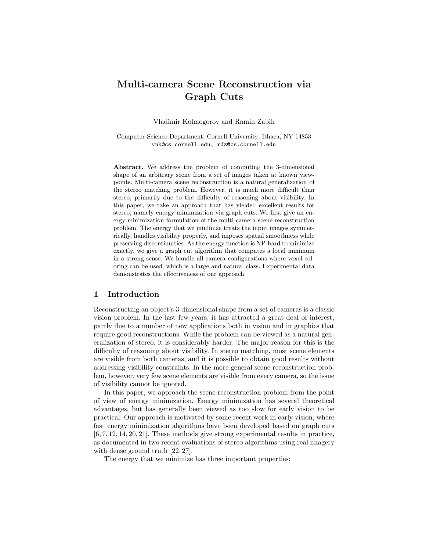# **Multi-camera Scene Reconstruction via Graph Cuts**

Vladimir Kolmogorov and Ramin Zabih

Computer Science Department, Cornell University, Ithaca, NY 14853 vnk@cs.cornell.edu, rdz@cs.cornell.edu

**Abstract.** We address the problem of computing the 3-dimensional shape of an arbitrary scene from a set of images taken at known viewpoints. Multi-camera scene reconstruction is a natural generalization of the stereo matching problem. However, it is much more difficult than stereo, primarily due to the difficulty of reasoning about visibility. In this paper, we take an approach that has yielded excellent results for stereo, namely energy minimization via graph cuts. We first give an energy minimization formulation of the multi-camera scene reconstruction problem. The energy that we minimize treats the input images symmetrically, handles visibility properly, and imposes spatial smoothness while preserving discontinuities. As the energy function is NP-hard to minimize exactly, we give a graph cut algorithm that computes a local minimum in a strong sense. We handle all camera configurations where voxel coloring can be used, which is a large and natural class. Experimental data demonstrates the effectiveness of our approach.

# **1 Introduction**

Reconstructing an object's 3-dimensional shape from a set of cameras is a classic vision problem. In the last few years, it has attracted a great deal of interest, partly due to a number of new applications both in vision and in graphics that require good reconstructions. While the problem can be viewed as a natural generalization of stereo, it is considerably harder. The major reason for this is the difficulty of reasoning about visibility. In stereo matching, most scene elements are visible from both cameras, and it is possible to obtain good results without addressing visibility constraints. In the more general scene reconstruction problem, however, very few scene elements are visible from every camera, so the issue of visibility cannot be ignored.

In this paper, we approach the scene reconstruction problem from the point of view of energy minimization. Energy minimization has several theoretical advantages, but has generally been viewed as too slow for early vision to be practical. Our approach is motivated by some recent work in early vision, where fast energy minimization algorithms have been developed based on graph cuts  $[6, 7, 12, 14, 20, 21]$ . These methods give strong experimental results in practice, as documented in two recent evaluations of stereo algorithms using real imagery with dense ground truth [22, 27].

The energy that we minimize has three important properties: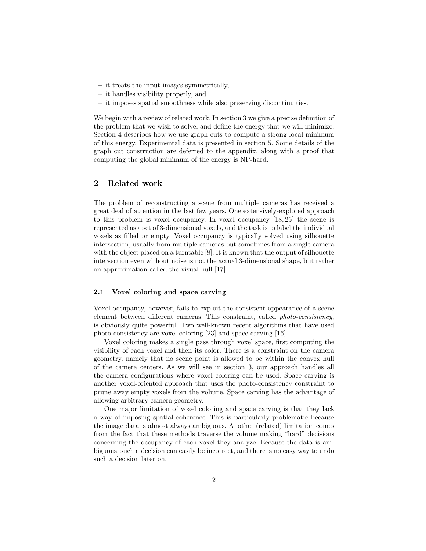- **–** it treats the input images symmetrically,
- **–** it handles visibility properly, and
- **–** it imposes spatial smoothness while also preserving discontinuities.

We begin with a review of related work. In section 3 we give a precise definition of the problem that we wish to solve, and define the energy that we will minimize. Section 4 describes how we use graph cuts to compute a strong local minimum of this energy. Experimental data is presented in section 5. Some details of the graph cut construction are deferred to the appendix, along with a proof that computing the global minimum of the energy is NP-hard.

# **2 Related work**

The problem of reconstructing a scene from multiple cameras has received a great deal of attention in the last few years. One extensively-explored approach to this problem is voxel occupancy. In voxel occupancy [18, 25] the scene is represented as a set of 3-dimensional voxels, and the task is to label the individual voxels as filled or empty. Voxel occupancy is typically solved using silhouette intersection, usually from multiple cameras but sometimes from a single camera with the object placed on a turntable [8]. It is known that the output of silhouette intersection even without noise is not the actual 3-dimensional shape, but rather an approximation called the visual hull [17].

#### **2.1 Voxel coloring and space carving**

Voxel occupancy, however, fails to exploit the consistent appearance of a scene element between different cameras. This constraint, called photo-consistency, is obviously quite powerful. Two well-known recent algorithms that have used photo-consistency are voxel coloring [23] and space carving [16].

Voxel coloring makes a single pass through voxel space, first computing the visibility of each voxel and then its color. There is a constraint on the camera geometry, namely that no scene point is allowed to be within the convex hull of the camera centers. As we will see in section 3, our approach handles all the camera configurations where voxel coloring can be used. Space carving is another voxel-oriented approach that uses the photo-consistency constraint to prune away empty voxels from the volume. Space carving has the advantage of allowing arbitrary camera geometry.

One major limitation of voxel coloring and space carving is that they lack a way of imposing spatial coherence. This is particularly problematic because the image data is almost always ambiguous. Another (related) limitation comes from the fact that these methods traverse the volume making "hard" decisions concerning the occupancy of each voxel they analyze. Because the data is ambiguous, such a decision can easily be incorrect, and there is no easy way to undo such a decision later on.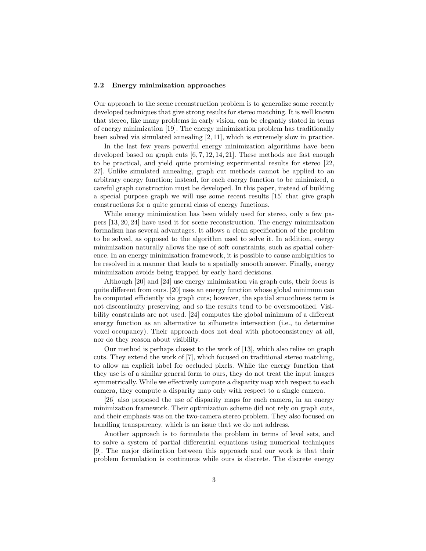#### **2.2 Energy minimization approaches**

Our approach to the scene reconstruction problem is to generalize some recently developed techniques that give strong results for stereo matching. It is well known that stereo, like many problems in early vision, can be elegantly stated in terms of energy minimization [19]. The energy minimization problem has traditionally been solved via simulated annealing [2, 11], which is extremely slow in practice.

In the last few years powerful energy minimization algorithms have been developed based on graph cuts [6, 7, 12, 14, 21]. These methods are fast enough to be practical, and yield quite promising experimental results for stereo [22, 27]. Unlike simulated annealing, graph cut methods cannot be applied to an arbitrary energy function; instead, for each energy function to be minimized, a careful graph construction must be developed. In this paper, instead of building a special purpose graph we will use some recent results [15] that give graph constructions for a quite general class of energy functions.

While energy minimization has been widely used for stereo, only a few papers [13, 20, 24] have used it for scene reconstruction. The energy minimization formalism has several advantages. It allows a clean specification of the problem to be solved, as opposed to the algorithm used to solve it. In addition, energy minimization naturally allows the use of soft constraints, such as spatial coherence. In an energy minimization framework, it is possible to cause ambiguities to be resolved in a manner that leads to a spatially smooth answer. Finally, energy minimization avoids being trapped by early hard decisions.

Although [20] and [24] use energy minimization via graph cuts, their focus is quite different from ours. [20] uses an energy function whose global minimum can be computed efficiently via graph cuts; however, the spatial smoothness term is not discontinuity preserving, and so the results tend to be oversmoothed. Visibility constraints are not used. [24] computes the global minimum of a different energy function as an alternative to silhouette intersection (i.e., to determine voxel occupancy). Their approach does not deal with photoconsistency at all, nor do they reason about visibility.

Our method is perhaps closest to the work of [13], which also relies on graph cuts. They extend the work of [7], which focused on traditional stereo matching, to allow an explicit label for occluded pixels. While the energy function that they use is of a similar general form to ours, they do not treat the input images symmetrically. While we effectively compute a disparity map with respect to each camera, they compute a disparity map only with respect to a single camera.

[26] also proposed the use of disparity maps for each camera, in an energy minimization framework. Their optimization scheme did not rely on graph cuts, and their emphasis was on the two-camera stereo problem. They also focused on handling transparency, which is an issue that we do not address.

Another approach is to formulate the problem in terms of level sets, and to solve a system of partial differential equations using numerical techniques [9]. The major distinction between this approach and our work is that their problem formulation is continuous while ours is discrete. The discrete energy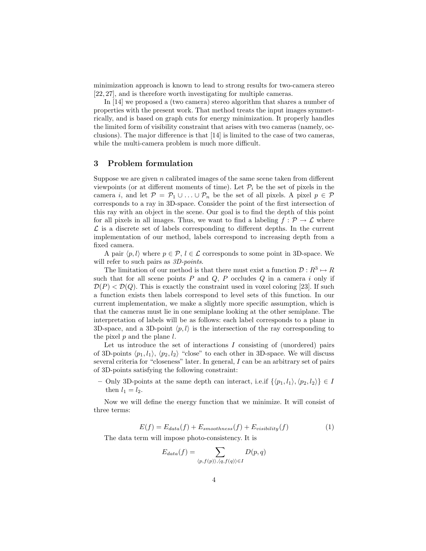minimization approach is known to lead to strong results for two-camera stereo [22, 27], and is therefore worth investigating for multiple cameras.

In [14] we proposed a (two camera) stereo algorithm that shares a number of properties with the present work. That method treats the input images symmetrically, and is based on graph cuts for energy minimization. It properly handles the limited form of visibility constraint that arises with two cameras (namely, occlusions). The major difference is that [14] is limited to the case of two cameras, while the multi-camera problem is much more difficult.

#### **3 Problem formulation**

Suppose we are given  $n$  calibrated images of the same scene taken from different viewpoints (or at different moments of time). Let  $\mathcal{P}_i$  be the set of pixels in the camera *i*, and let  $\mathcal{P} = \mathcal{P}_1 \cup ... \cup \mathcal{P}_n$  be the set of all pixels. A pixel  $p \in \mathcal{P}$ corresponds to a ray in 3D-space. Consider the point of the first intersection of this ray with an object in the scene. Our goal is to find the depth of this point for all pixels in all images. Thus, we want to find a labeling  $f : \mathcal{P} \to \mathcal{L}$  where  $\mathcal L$  is a discrete set of labels corresponding to different depths. In the current implementation of our method, labels correspond to increasing depth from a fixed camera.

A pair  $\langle p, l \rangle$  where  $p \in \mathcal{P}, l \in \mathcal{L}$  corresponds to some point in 3D-space. We will refer to such pairs as 3D-points.

The limitation of our method is that there must exist a function  $\mathcal{D}: R^3 \mapsto R$ such that for all scene points  $P$  and  $Q$ ,  $P$  occludes  $Q$  in a camera  $i$  only if  $\mathcal{D}(P) < \mathcal{D}(Q)$ . This is exactly the constraint used in voxel coloring [23]. If such a function exists then labels correspond to level sets of this function. In our current implementation, we make a slightly more specific assumption, which is that the cameras must lie in one semiplane looking at the other semiplane. The interpretation of labels will be as follows: each label corresponds to a plane in 3D-space, and a 3D-point  $\langle p, l \rangle$  is the intersection of the ray corresponding to the pixel  $p$  and the plane  $l$ .

Let us introduce the set of interactions  $I$  consisting of (unordered) pairs of 3D-points  $\langle p_1, l_1 \rangle$ ,  $\langle p_2, l_2 \rangle$  "close" to each other in 3D-space. We will discuss several criteria for "closeness" later. In general, I can be an arbitrary set of pairs of 3D-points satisfying the following constraint:

**−** Only 3D-points at the same depth can interact, i.e. if  $\{\langle p_1, l_1 \rangle, \langle p_2, l_2 \rangle\}$  ∈ I then  $l_1 = l_2$ .

Now we will define the energy function that we minimize. It will consist of three terms:

$$
E(f) = E_{data}(f) + E_{smoothness}(f) + E_{visibility}(f)
$$
\n(1)

The data term will impose photo-consistency. It is

$$
E_{data}(f) = \sum_{\langle p, f(p) \rangle, \langle q, f(q) \rangle \in I} D(p, q)
$$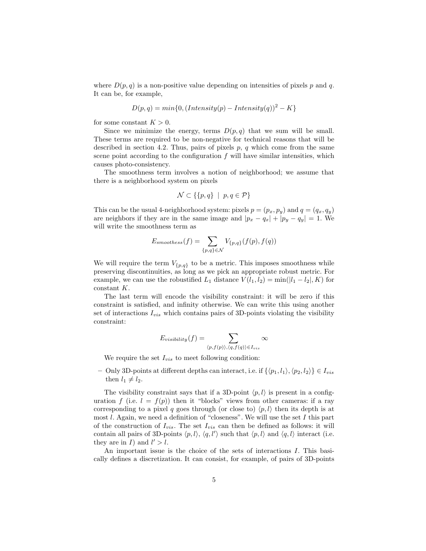where  $D(p, q)$  is a non-positive value depending on intensities of pixels p and q. It can be, for example,

$$
D(p,q) = min\{0, (Intensity(p) - Intensity(q))^2 - K\}
$$

for some constant  $K > 0$ .

Since we minimize the energy, terms  $D(p,q)$  that we sum will be small. These terms are required to be non-negative for technical reasons that will be described in section 4.2. Thus, pairs of pixels  $p, q$  which come from the same scene point according to the configuration  $f$  will have similar intensities, which causes photo-consistency.

The smoothness term involves a notion of neighborhood; we assume that there is a neighborhood system on pixels

$$
\mathcal{N} \subset \{ \{p, q\} \mid p, q \in \mathcal{P} \}
$$

This can be the usual 4-neighborhood system: pixels  $p = (p_x, p_y)$  and  $q = (q_x, q_y)$ are neighbors if they are in the same image and  $|p_x - q_x| + |p_y - q_y| = 1$ . We will write the smoothness term as

$$
E_{smoothess}(f) = \sum_{\{p,q\} \in \mathcal{N}} V_{\{p,q\}}(f(p), f(q))
$$

We will require the term  $V_{\{p,q\}}$  to be a metric. This imposes smoothness while preserving discontinuities, as long as we pick an appropriate robust metric. For example, we can use the robustified  $L_1$  distance  $V(l_1, l_2) = \min(|l_1 - l_2|, K)$  for constant K.

The last term will encode the visibility constraint: it will be zero if this constraint is satisfied, and infinity otherwise. We can write this using another set of interactions I*vis* which contains pairs of 3D-points violating the visibility constraint:

$$
E_{visibility}(f) = \sum_{\langle p, f(p) \rangle, \langle q, f(q) \rangle \in I_{vis}} \infty
$$

We require the set I*vis* to meet following condition:

**−** Only 3D-points at different depths can interact, i.e. if  $\{\langle p_1, l_1 \rangle, \langle p_2, l_2 \rangle\}$  ∈  $I_{vis}$ then  $l_1 \neq l_2$ .

The visibility constraint says that if a 3D-point  $\langle p, l \rangle$  is present in a configuration f (i.e.  $l = f(p)$ ) then it "blocks" views from other cameras: if a ray corresponding to a pixel q goes through (or close to)  $\langle p, l \rangle$  then its depth is at most l. Again, we need a definition of "closeness". We will use the set I this part of the construction of  $I_{vis}$ . The set  $I_{vis}$  can then be defined as follows: it will contain all pairs of 3D-points  $\langle p, l \rangle$ ,  $\langle q, l' \rangle$  such that  $\langle p, l \rangle$  and  $\langle q, l \rangle$  interact (i.e. they are in  $I$ ) and  $l' > l$ .

An important issue is the choice of the sets of interactions I. This basically defines a discretization. It can consist, for example, of pairs of 3D-points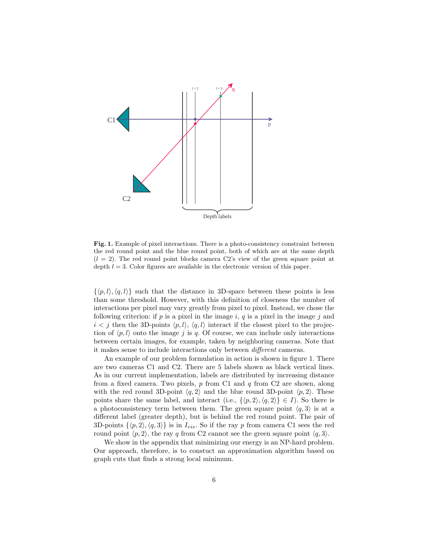

**Fig. 1.** Example of pixel interactions. There is a photo-consistency constraint between the red round point and the blue round point, both of which are at the same depth  $(l = 2)$ . The red round point blocks camera C2's view of the green square point at depth  $l = 3$ . Color figures are available in the electronic version of this paper.

 $\{\langle p, l \rangle, \langle q, l \rangle\}$  such that the distance in 3D-space between these points is less than some threshold. However, with this definition of closeness the number of interactions per pixel may vary greatly from pixel to pixel. Instead, we chose the following criterion: if  $p$  is a pixel in the image  $i, q$  is a pixel in the image  $j$  and  $i < j$  then the 3D-points  $\langle p, l \rangle$ ,  $\langle q, l \rangle$  interact if the closest pixel to the projection of  $\langle p, l \rangle$  onto the image j is q. Of course, we can include only interactions between certain images, for example, taken by neighboring cameras. Note that it makes sense to include interactions only between different cameras.

An example of our problem formulation in action is shown in figure 1. There are two cameras C1 and C2. There are 5 labels shown as black vertical lines. As in our current implementation, labels are distributed by increasing distance from a fixed camera. Two pixels, p from C1 and q from C2 are shown, along with the red round 3D-point  $\langle q, 2 \rangle$  and the blue round 3D-point  $\langle p, 2 \rangle$ . These points share the same label, and interact (i.e.,  $\{\langle p, 2 \rangle, \langle q, 2 \rangle\} \in I$ ). So there is a photoconsistency term between them. The green square point  $\langle q, 3 \rangle$  is at a different label (greater depth), but is behind the red round point. The pair of 3D-points  $\{\langle p, 2\rangle, \langle q, 3\rangle\}$  is in  $I_{vis}$ . So if the ray p from camera C1 sees the red round point  $\langle p, 2 \rangle$ , the ray q from C2 cannot see the green square point  $\langle q, 3 \rangle$ .

We show in the appendix that minimizing our energy is an NP-hard problem. Our approach, therefore, is to constuct an approximation algorithm based on graph cuts that finds a strong local minimum.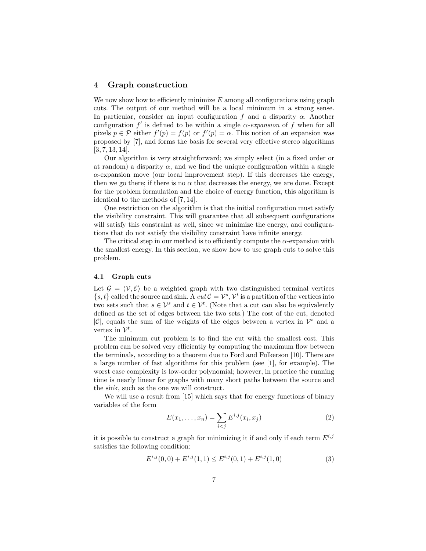## **4 Graph construction**

We now show how to efficiently minimize  $E$  among all configurations using graph cuts. The output of our method will be a local minimum in a strong sense. In particular, consider an input configuration f and a disparity  $\alpha$ . Another configuration f' is defined to be within a single  $\alpha$ -expansion of f when for all pixels  $p \in \mathcal{P}$  either  $f'(p) = f(p)$  or  $f'(p) = \alpha$ . This notion of an expansion was proposed by [7], and forms the basis for several very effective stereo algorithms [3, 7, 13, 14].

Our algorithm is very straightforward; we simply select (in a fixed order or at random) a disparity  $\alpha$ , and we find the unique configuration within a single  $\alpha$ -expansion move (our local improvement step). If this decreases the energy, then we go there; if there is no  $\alpha$  that decreases the energy, we are done. Except for the problem formulation and the choice of energy function, this algorithm is identical to the methods of [7, 14].

One restriction on the algorithm is that the initial configuration must satisfy the visibility constraint. This will guarantee that all subsequent configurations will satisfy this constraint as well, since we minimize the energy, and configurations that do not satisfy the visibility constraint have infinite energy.

The critical step in our method is to efficiently compute the  $\alpha$ -expansion with the smallest energy. In this section, we show how to use graph cuts to solve this problem.

### **4.1 Graph cuts**

Let  $\mathcal{G} = \langle \mathcal{V}, \mathcal{E} \rangle$  be a weighted graph with two distinguished terminal vertices  $\{s, t\}$  called the source and sink. A cut  $\mathcal{C} = \mathcal{V}^s$ ,  $\mathcal{V}^t$  is a partition of the vertices into two sets such that  $s \in \mathcal{V}^s$  and  $t \in \mathcal{V}^t$ . (Note that a cut can also be equivalently defined as the set of edges between the two sets.) The cost of the cut, denoted  $|\mathcal{C}|$ , equals the sum of the weights of the edges between a vertex in  $\mathcal{V}^s$  and a vertex in  $\mathcal{V}^t$ .

The minimum cut problem is to find the cut with the smallest cost. This problem can be solved very efficiently by computing the maximum flow between the terminals, according to a theorem due to Ford and Fulkerson [10]. There are a large number of fast algorithms for this problem (see [1], for example). The worst case complexity is low-order polynomial; however, in practice the running time is nearly linear for graphs with many short paths between the source and the sink, such as the one we will construct.

We will use a result from [15] which says that for energy functions of binary variables of the form

$$
E(x_1, ..., x_n) = \sum_{i < j} E^{i,j}(x_i, x_j) \tag{2}
$$

it is possible to construct a graph for minimizing it if and only if each term  $E^{i,j}$ satisfies the following condition:

$$
E^{i,j}(0,0) + E^{i,j}(1,1) \le E^{i,j}(0,1) + E^{i,j}(1,0)
$$
\n(3)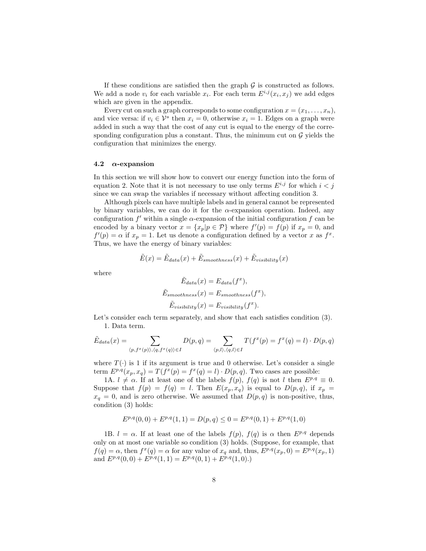If these conditions are satisfied then the graph  $G$  is constructed as follows. We add a node  $v_i$  for each variable  $x_i$ . For each term  $E^{i,j}(x_i, x_j)$  we add edges which are given in the appendix.

Every cut on such a graph corresponds to some configuration  $x = (x_1, \ldots, x_n)$ , and vice versa: if  $v_i \in \mathcal{V}^s$  then  $x_i = 0$ , otherwise  $x_i = 1$ . Edges on a graph were added in such a way that the cost of any cut is equal to the energy of the corresponding configuration plus a constant. Thus, the minimum cut on  $\mathcal G$  yields the configuration that minimizes the energy.

#### **4.2** *α***-expansion**

In this section we will show how to convert our energy function into the form of equation 2. Note that it is not necessary to use only terms  $E^{i,j}$  for which  $i < j$ since we can swap the variables if necessary without affecting condition 3.

Although pixels can have multiple labels and in general cannot be represented by binary variables, we can do it for the  $\alpha$ -expansion operation. Indeed, any configuration f' within a single  $\alpha$ -expansion of the initial configuration f can be encoded by a binary vector  $x = \{x_p | p \in \mathcal{P}\}\$  where  $f'(p) = f(p)$  if  $x_p = 0$ , and  $f'(p) = \alpha$  if  $x_p = 1$ . Let us denote a configuration defined by a vector x as  $f^x$ . Thus, we have the energy of binary variables:

$$
\tilde{E}(x) = \tilde{E}_{data}(x) + \tilde{E}_{smoothness}(x) + \tilde{E}_{visibility}(x)
$$

where

$$
\tilde{E}_{data}(x) = E_{data}(f^x),
$$
\n
$$
\tilde{E}_{smoothness}(x) = E_{smoothness}(f^x),
$$
\n
$$
\tilde{E}_{visibility}(x) = E_{visibility}(f^x).
$$

Let's consider each term separately, and show that each satisfies condition  $(3)$ . 1. Data term.

$$
\tilde{E}_{data}(x) = \sum_{\langle p, f^x(p) \rangle, \langle q, f^x(q) \rangle \in I} D(p, q) = \sum_{\langle p, l \rangle, \langle q, l \rangle \in I} T(f^x(p) = f^x(q) = l) \cdot D(p, q)
$$

where  $T(\cdot)$  is 1 if its argument is true and 0 otherwise. Let's consider a single term  $E^{p,q}(x_p, x_q) = T(f^x(p) = f^x(q) = l) \cdot D(p,q)$ . Two cases are possible:

1A.  $l \neq \alpha$ . If at least one of the labels  $f(p)$ ,  $f(q)$  is not l then  $E^{p,q} \equiv 0$ . Suppose that  $f(p) = f(q) = l$ . Then  $E(x_p, x_q)$  is equal to  $D(p, q)$ , if  $x_p =$  $x_q = 0$ , and is zero otherwise. We assumed that  $D(p, q)$  is non-positive, thus, condition (3) holds:

$$
E^{p,q}(0,0) + E^{p,q}(1,1) = D(p,q) \le 0 = E^{p,q}(0,1) + E^{p,q}(1,0)
$$

1B.  $l = \alpha$ . If at least one of the labels  $f(p)$ ,  $f(q)$  is  $\alpha$  then  $E^{p,q}$  depends only on at most one variable so condition (3) holds. (Suppose, for example, that  $f(q) = \alpha$ , then  $f^x(q) = \alpha$  for any value of  $x_q$  and, thus,  $E^{p,q}(x_p, 0) = E^{p,q}(x_p, 1)$ and  $E^{p,q}(0,0) + E^{p,q}(1,1) = E^{p,q}(0,1) + E^{p,q}(1,0).$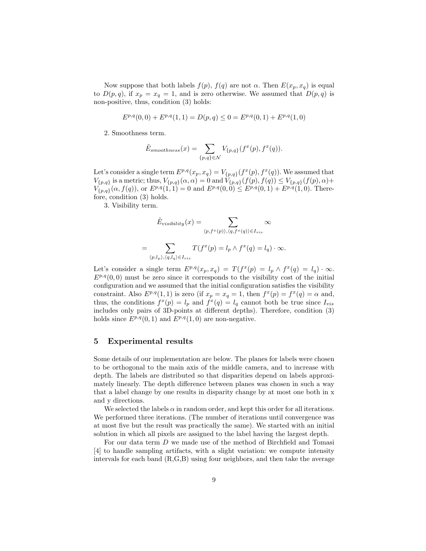Now suppose that both labels  $f(p)$ ,  $f(q)$  are not  $\alpha$ . Then  $E(x_p, x_q)$  is equal to  $D(p,q)$ , if  $x_p = x_q = 1$ , and is zero otherwise. We assumed that  $D(p,q)$  is non-positive, thus, condition (3) holds:

$$
E^{p,q}(0,0) + E^{p,q}(1,1) = D(p,q) \le 0 = E^{p,q}(0,1) + E^{p,q}(1,0)
$$

2. Smoothness term.

$$
\tilde{E}_{smoothness}(x) = \sum_{\{p,q\} \in \mathcal{N}} V_{\{p,q\}}(f^x(p), f^x(q)).
$$

Let's consider a single term  $E^{p,q}(x_p, x_q) = V_{\{p,q\}}(f^x(p), f^x(q))$ . We assumed that  $V_{\{p,q\}}$  is a metric; thus,  $V_{\{p,q\}}(\alpha,\alpha) = 0$  and  $V_{\{p,q\}}(f(p), f(q)) \leq V_{\{p,q\}}(f(p), \alpha) +$  $V^{(P)}_{\{p,q\}}(\alpha, f(q))$ , or  $E^{p,q}(1, 1) = 0$  and  $E^{p,q}(0, 0) \leq E^{p,q}(0, 1) + E^{p,q}(1, 0)$ . Therefore, condition (3) holds.

3. Visibility term.

$$
\tilde{E}_{visibility}(x) = \sum_{\langle p, f^x(p) \rangle, \langle q, f^x(q) \rangle \in I_{vis}} \infty
$$
\n
$$
= \sum T(f^x(p) = l_p \wedge f^x(q) = l_q) \cdot \infty.
$$

Let's consider a single term  $E^{p,q}(x_p, x_q) = T(f^x(p) = l_p \wedge f^x(q) = l_q) \cdot \infty$ .  $E^{p,q}(0,0)$  must be zero since it corresponds to the visibility cost of the initial configuration and we assumed that the initial configuration satisfies the visibility constraint. Also  $E^{p,q}(1,1)$  is zero (if  $x_p = x_q = 1$ , then  $f^x(p) = f^x(q) = \alpha$  and, thus, the conditions  $f^x(p) = l_p$  and  $f^x(q) = l_q$  cannot both be true since  $I_{vis}$ includes only pairs of 3D-points at different depths). Therefore, condition (3) holds since  $E^{p,q}(0,1)$  and  $E^{p,q}(1,0)$  are non-negative.

## **5 Experimental results**

 $\langle p, l_p \rangle$ , $\langle q, l_q \rangle \in I_{vis}$ 

Some details of our implementation are below. The planes for labels were chosen to be orthogonal to the main axis of the middle camera, and to increase with depth. The labels are distributed so that disparities depend on labels approximately linearly. The depth difference between planes was chosen in such a way that a label change by one results in disparity change by at most one both in x and y directions.

We selected the labels  $\alpha$  in random order, and kept this order for all iterations. We performed three iterations. (The number of iterations until convergence was at most five but the result was practically the same). We started with an initial solution in which all pixels are assigned to the label having the largest depth.

For our data term D we made use of the method of Birchfield and Tomasi [4] to handle sampling artifacts, with a slight variation: we compute intensity intervals for each band (R,G,B) using four neighbors, and then take the average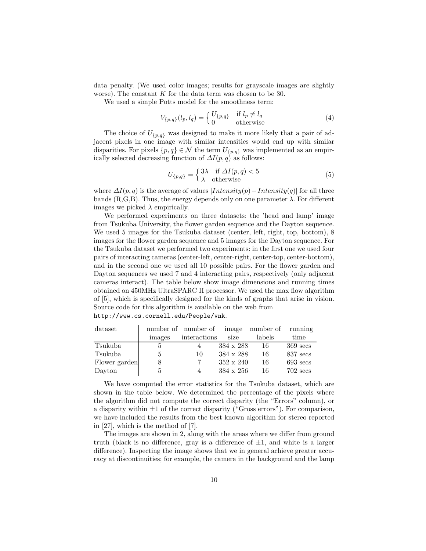data penalty. (We used color images; results for grayscale images are slightly worse). The constant K for the data term was chosen to be 30.

We used a simple Potts model for the smoothness term:

$$
V_{\{p,q\}}(l_p, l_q) = \begin{cases} U_{\{p,q\}} & \text{if } l_p \neq l_q \\ 0 & \text{otherwise} \end{cases}
$$
 (4)

The choice of  $U_{\{p,q\}}$  was designed to make it more likely that a pair of adjacent pixels in one image with similar intensities would end up with similar disparities. For pixels  $\{p, q\} \in \mathcal{N}$  the term  $U_{\{p,q\}}$  was implemented as an empirically selected decreasing function of  $\Delta I(p,q)$  as follows:

$$
U_{\{p,q\}} = \begin{cases} 3\lambda & \text{if } \Delta I(p,q) < 5\\ \lambda & \text{otherwise} \end{cases}
$$
 (5)

where  $\Delta I(p,q)$  is the average of values  $|Intensity(p) - Intensity(q)|$  for all three bands (R,G,B). Thus, the energy depends only on one parameter  $\lambda$ . For different images we picked  $\lambda$  empirically.

We performed experiments on three datasets: the 'head and lamp' image from Tsukuba University, the flower garden sequence and the Dayton sequence. We used 5 images for the Tsukuba dataset (center, left, right, top, bottom), 8 images for the flower garden sequence and 5 images for the Dayton sequence. For the Tsukuba dataset we performed two experiments: in the first one we used four pairs of interacting cameras (center-left, center-right, center-top, center-bottom), and in the second one we used all 10 possible pairs. For the flower garden and Dayton sequences we used 7 and 4 interacting pairs, respectively (only adjacent cameras interact). The table below show image dimensions and running times obtained on 450MHz UltraSPARC II processor. We used the max flow algorithm of [5], which is specifically designed for the kinds of graphs that arise in vision. Source code for this algorithm is available on the web from http://www.cs.cornell.edu/People/vnk.

| dataset       |        | number of number of image number of running |                  |        |                    |
|---------------|--------|---------------------------------------------|------------------|--------|--------------------|
|               | images | interactions                                | size             | labels | time               |
| Tsukuba       | 5      |                                             | $384 \times 288$ | 16     | $369 \text{ secs}$ |
| Tsukuba       |        | 10                                          | $384 \times 288$ | 16     | $837$ secs         |
| Flower garden |        |                                             | $352 \times 240$ | 16     | $693 \text{ secs}$ |
| Dayton        | h,     |                                             | $384 \times 256$ | 16     | $702 \text{ secs}$ |

We have computed the error statistics for the Tsukuba dataset, which are shown in the table below. We determined the percentage of the pixels where the algorithm did not compute the correct disparity (the "Errors" column), or a disparity within  $\pm 1$  of the correct disparity ("Gross errors"). For comparison, we have included the results from the best known algorithm for stereo reported in [27], which is the method of [7].

The images are shown in 2, along with the areas where we differ from ground truth (black is no difference, gray is a difference of  $\pm 1$ , and white is a larger difference). Inspecting the image shows that we in general achieve greater accuracy at discontinuities; for example, the camera in the background and the lamp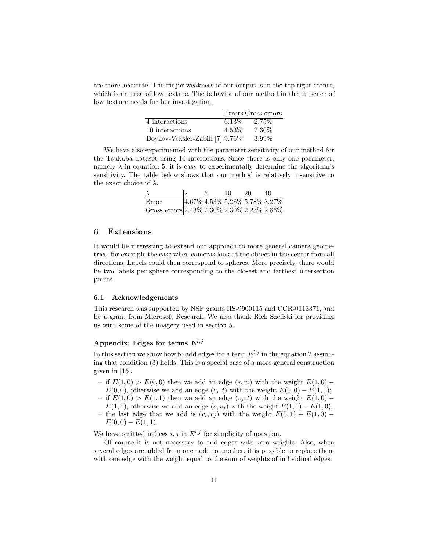are more accurate. The major weakness of our output is in the top right corner, which is an area of low texture. The behavior of our method in the presence of low texture needs further investigation.

|                                |       | Errors Gross errors |
|--------------------------------|-------|---------------------|
| 4 interactions                 | 6.13% | $2.75\%$            |
| 10 interactions                | 4.53% | $2.30\%$            |
| Boykov-Veksler-Zabih [7] 9.76% |       | 3.99%               |

We have also experimented with the parameter sensitivity of our method for the Tsukuba dataset using 10 interactions. Since there is only one parameter, namely  $\lambda$  in equation 5, it is easy to experimentally determine the algorithm's sensitivity. The table below shows that our method is relatively insensitive to the exact choice of  $\lambda$ .

|                                            |                                              | 10 | 20 | 40 |
|--------------------------------------------|----------------------------------------------|----|----|----|
| Error                                      | $4.67\%$ $4.53\%$ $5.28\%$ $5.78\%$ $8.27\%$ |    |    |    |
| Gross errors 2.43% 2.30% 2.30% 2.23% 2.86% |                                              |    |    |    |

## **6 Extensions**

It would be interesting to extend our approach to more general camera geometries, for example the case when cameras look at the object in the center from all directions. Labels could then correspond to spheres. More precisely, there would be two labels per sphere corresponding to the closest and farthest intersection points.

#### **6.1 Acknowledgements**

This research was supported by NSF grants IIS-9900115 and CCR-0113371, and by a grant from Microsoft Research. We also thank Rick Szeliski for providing us with some of the imagery used in section 5.

# **Appendix: Edges for terms** *Ei,j*

In this section we show how to add edges for a term  $E^{i,j}$  in the equation 2 assuming that condition (3) holds. This is a special case of a more general construction given in [15].

- $-$  if  $E(1,0) > E(0,0)$  then we add an edge  $(s, v_i)$  with the weight  $E(1,0)$  −  $E(0, 0)$ , otherwise we add an edge  $(v_i, t)$  with the weight  $E(0, 0) - E(1, 0)$ ;
- $-$  if  $E(1,0) > E(1,1)$  then we add an edge  $(v_j, t)$  with the weight  $E(1,0)$  −  $E(1, 1)$ , otherwise we add an edge  $(s, v<sub>j</sub>)$  with the weight  $E(1, 1) - E(1, 0)$ ; – the last edge that we add is  $(v_i, v_j)$  with the weight  $E(0, 1) + E(1, 0)$  –
	- $E(0,0) E(1,1).$

We have omitted indices  $i, j$  in  $E^{i,j}$  for simplicity of notation.

Of course it is not necessary to add edges with zero weights. Also, when several edges are added from one node to another, it is possible to replace them with one edge with the weight equal to the sum of weights of individiual edges.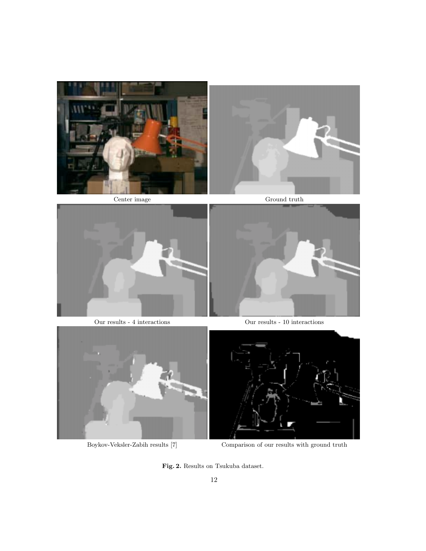



Our results - 4 interactions Our results - 10 interactions



Boykov-Veksler-Zabih results [7] Comparison of our results with ground truth

**Fig. 2.** Results on Tsukuba dataset.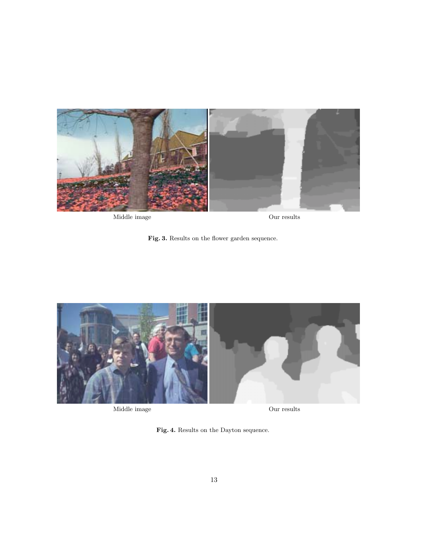

Fig. 3. Results on the flower garden sequence.



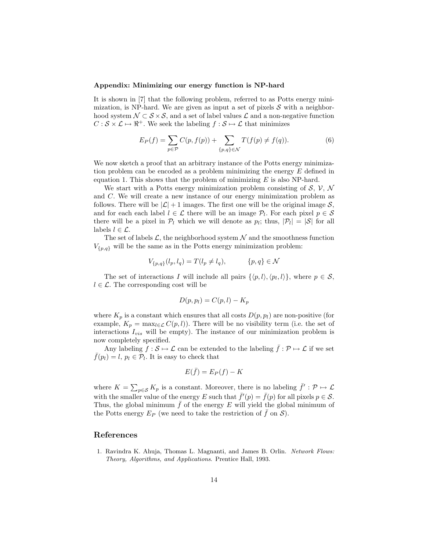# **Appendix: Minimizing our energy function is NP-hard**

It is shown in [7] that the following problem, referred to as Potts energy minimization, is NP-hard. We are given as input a set of pixels  $S$  with a neighborhood system  $\mathcal{N} \subset \mathcal{S} \times \mathcal{S}$ , and a set of label values  $\mathcal{L}$  and a non-negative function  $C : \mathcal{S} \times \mathcal{L} \mapsto \mathbb{R}^+$ . We seek the labeling  $f : \mathcal{S} \mapsto \mathcal{L}$  that minimizes

$$
E_P(f) = \sum_{p \in P} C(p, f(p)) + \sum_{\{p, q\} \in \mathcal{N}} T(f(p) \neq f(q)).
$$
 (6)

We now sketch a proof that an arbitrary instance of the Potts energy minimization problem can be encoded as a problem minimizing the energy  $E$  defined in equation 1. This shows that the problem of minimizing  $E$  is also NP-hard.

We start with a Potts energy minimization problem consisting of  $S$ ,  $V$ ,  $\mathcal{N}$ and C. We will create a new instance of our energy minimization problem as follows. There will be  $|\mathcal{L}| + 1$  images. The first one will be the original image  $\mathcal{S}$ , and for each each label  $l \in \mathcal{L}$  there will be an image  $\mathcal{P}_l$ . For each pixel  $p \in \mathcal{S}$ there will be a pixel in  $\mathcal{P}_l$  which we will denote as  $p_l$ ; thus,  $|\mathcal{P}_l| = |\mathcal{S}|$  for all labels  $l \in \mathcal{L}$ .

The set of labels  $\mathcal{L}$ , the neighborhood system  $\mathcal N$  and the smoothness function  $V_{\{p,q\}}$  will be the same as in the Potts energy minimization problem:

$$
V_{\{p,q\}}(l_p, l_q) = T(l_p \neq l_q), \qquad \{p,q\} \in \mathcal{N}
$$

The set of interactions I will include all pairs  $\{\langle p, l \rangle, \langle p_l, l \rangle\}$ , where  $p \in S$ ,  $l \in \mathcal{L}$ . The corresponding cost will be

$$
D(p, p_l) = C(p, l) - K_p
$$

where  $K_p$  is a constant which ensures that all costs  $D(p, p_l)$  are non-positive (for example,  $K_p = \max_{l \in \mathcal{L}} C(p, l)$ ). There will be no visibility term (i.e. the set of interactions I*vis* will be empty). The instance of our minimization problem is now completely specified.

Any labeling  $f : \mathcal{S} \mapsto \mathcal{L}$  can be extended to the labeling  $\bar{f} : \mathcal{P} \mapsto \mathcal{L}$  if we set  $\bar{f}(p_l) = l, p_l \in \mathcal{P}_l$ . It is easy to check that

$$
E(\bar{f}) = E_P(f) - K
$$

where  $K = \sum_{p \in \mathcal{S}} K_p$  is a constant. Moreover, there is no labeling  $\bar{f}' : \mathcal{P} \mapsto \mathcal{L}$ with the smaller value of the energy E such that  $\bar{f}'(p) = \bar{f}(p)$  for all pixels  $p \in \mathcal{S}$ . Thus, the global minimum  $\bar{f}$  of the energy E will yield the global minimum of the Potts energy  $E_P$  (we need to take the restriction of  $\bar{f}$  on  $\mathcal{S}$ ).

# **References**

1. Ravindra K. Ahuja, Thomas L. Magnanti, and James B. Orlin. *Network Flows: Theory, Algorithms, and Applications*. Prentice Hall, 1993.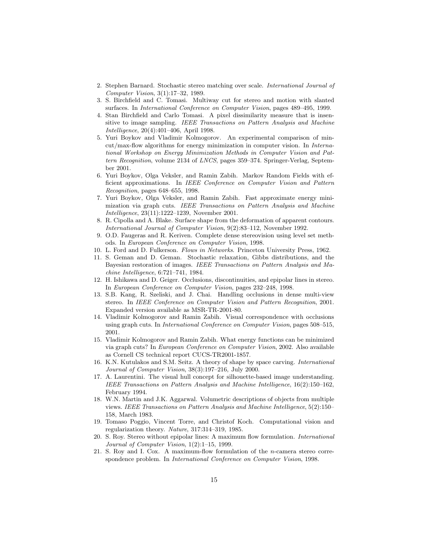- 2. Stephen Barnard. Stochastic stereo matching over scale. *International Journal of Computer Vision*, 3(1):17–32, 1989.
- 3. S. Birchfield and C. Tomasi. Multiway cut for stereo and motion with slanted surfaces. In *International Conference on Computer Vision*, pages 489–495, 1999.
- 4. Stan Birchfield and Carlo Tomasi. A pixel dissimilarity measure that is insensitive to image sampling. *IEEE Transactions on Pattern Analysis and Machine Intelligence*, 20(4):401–406, April 1998.
- 5. Yuri Boykov and Vladimir Kolmogorov. An experimental comparison of mincut/max-flow algorithms for energy minimization in computer vision. In *International Workshop on Energy Minimization Methods in Computer Vision and Pattern Recognition*, volume 2134 of *LNCS*, pages 359–374. Springer-Verlag, September 2001.
- 6. Yuri Boykov, Olga Veksler, and Ramin Zabih. Markov Random Fields with efficient approximations. In *IEEE Conference on Computer Vision and Pattern Recognition*, pages 648–655, 1998.
- 7. Yuri Boykov, Olga Veksler, and Ramin Zabih. Fast approximate energy minimization via graph cuts. *IEEE Transactions on Pattern Analysis and Machine Intelligence*, 23(11):1222–1239, November 2001.
- 8. R. Cipolla and A. Blake. Surface shape from the deformation of apparent contours. *International Journal of Computer Vision*, 9(2):83–112, November 1992.
- 9. O.D. Faugeras and R. Keriven. Complete dense stereovision using level set methods. In *European Conference on Computer Vision*, 1998.
- 10. L. Ford and D. Fulkerson. *Flows in Networks*. Princeton University Press, 1962.
- 11. S. Geman and D. Geman. Stochastic relaxation, Gibbs distributions, and the Bayesian restoration of images. *IEEE Transactions on Pattern Analysis and Machine Intelligence*, 6:721–741, 1984.
- 12. H. Ishikawa and D. Geiger. Occlusions, discontinuities, and epipolar lines in stereo. In *European Conference on Computer Vision*, pages 232–248, 1998.
- 13. S.B. Kang, R. Szeliski, and J. Chai. Handling occlusions in dense multi-view stereo. In *IEEE Conference on Computer Vision and Pattern Recognition*, 2001. Expanded version available as MSR-TR-2001-80.
- 14. Vladimir Kolmogorov and Ramin Zabih. Visual correspondence with occlusions using graph cuts. In *International Conference on Computer Vision*, pages 508–515, 2001.
- 15. Vladimir Kolmogorov and Ramin Zabih. What energy functions can be minimized via graph cuts? In *European Conference on Computer Vision*, 2002. Also available as Cornell CS technical report CUCS-TR2001-1857.
- 16. K.N. Kutulakos and S.M. Seitz. A theory of shape by space carving. *International Journal of Computer Vision*, 38(3):197–216, July 2000.
- 17. A. Laurentini. The visual hull concept for silhouette-based image understanding. *IEEE Transactions on Pattern Analysis and Machine Intelligence*, 16(2):150–162, February 1994.
- 18. W.N. Martin and J.K. Aggarwal. Volumetric descriptions of objects from multiple views. *IEEE Transactions on Pattern Analysis and Machine Intelligence*, 5(2):150– 158, March 1983.
- 19. Tomaso Poggio, Vincent Torre, and Christof Koch. Computational vision and regularization theory. *Nature*, 317:314–319, 1985.
- 20. S. Roy. Stereo without epipolar lines: A maximum flow formulation. *International Journal of Computer Vision*, 1(2):1–15, 1999.
- 21. S. Roy and I. Cox. A maximum-flow formulation of the *n*-camera stereo correspondence problem. In *International Conference on Computer Vision*, 1998.